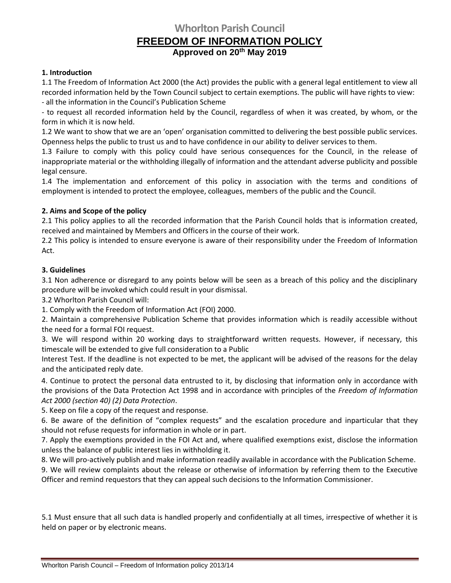# **Whorlton Parish Council FREEDOM OF INFORMATION POLICY Approved on 20th May 2019**

## **1. Introduction**

1.1 The Freedom of Information Act 2000 (the Act) provides the public with a general legal entitlement to view all recorded information held by the Town Council subject to certain exemptions. The public will have rights to view: - all the information in the Council's Publication Scheme

- to request all recorded information held by the Council, regardless of when it was created, by whom, or the form in which it is now held.

1.2 We want to show that we are an 'open' organisation committed to delivering the best possible public services. Openness helps the public to trust us and to have confidence in our ability to deliver services to them.

1.3 Failure to comply with this policy could have serious consequences for the Council, in the release of inappropriate material or the withholding illegally of information and the attendant adverse publicity and possible legal censure.

1.4 The implementation and enforcement of this policy in association with the terms and conditions of employment is intended to protect the employee, colleagues, members of the public and the Council.

## **2. Aims and Scope of the policy**

2.1 This policy applies to all the recorded information that the Parish Council holds that is information created, received and maintained by Members and Officers in the course of their work.

2.2 This policy is intended to ensure everyone is aware of their responsibility under the Freedom of Information Act.

#### **3. Guidelines**

3.1 Non adherence or disregard to any points below will be seen as a breach of this policy and the disciplinary procedure will be invoked which could result in your dismissal.

3.2 Whorlton Parish Council will:

1. Comply with the Freedom of Information Act (FOI) 2000.

2. Maintain a comprehensive Publication Scheme that provides information which is readily accessible without the need for a formal FOI request.

3. We will respond within 20 working days to straightforward written requests. However, if necessary, this timescale will be extended to give full consideration to a Public

Interest Test. If the deadline is not expected to be met, the applicant will be advised of the reasons for the delay and the anticipated reply date.

4. Continue to protect the personal data entrusted to it, by disclosing that information only in accordance with the provisions of the Data Protection Act 1998 and in accordance with principles of the *Freedom of Information Act 2000 (section 40) (2) Data Protection*.

5. Keep on file a copy of the request and response.

6. Be aware of the definition of "complex requests" and the escalation procedure and inparticular that they should not refuse requests for information in whole or in part.

7. Apply the exemptions provided in the FOI Act and, where qualified exemptions exist, disclose the information unless the balance of public interest lies in withholding it.

8. We will pro-actively publish and make information readily available in accordance with the Publication Scheme.

Officer and remind requestors that they can appeal such decisions to the Information Commissioner. 9. We will review complaints about the release or otherwise of information by referring them to the Executive

5.1 Must ensure that all such data is handled properly and confidentially at all times, irrespective of whether it is held on paper or by electronic means.